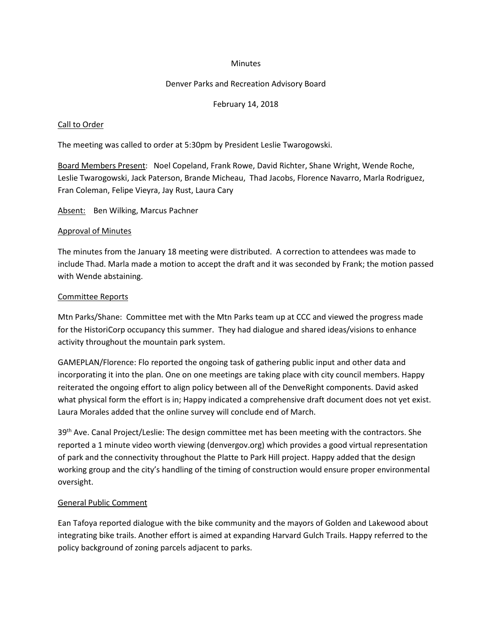#### **Minutes**

## Denver Parks and Recreation Advisory Board

## February 14, 2018

## Call to Order

The meeting was called to order at 5:30pm by President Leslie Twarogowski.

Board Members Present: Noel Copeland, Frank Rowe, David Richter, Shane Wright, Wende Roche, Leslie Twarogowski, Jack Paterson, Brande Micheau, Thad Jacobs, Florence Navarro, Marla Rodriguez, Fran Coleman, Felipe Vieyra, Jay Rust, Laura Cary

Absent: Ben Wilking, Marcus Pachner

#### Approval of Minutes

The minutes from the January 18 meeting were distributed. A correction to attendees was made to include Thad. Marla made a motion to accept the draft and it was seconded by Frank; the motion passed with Wende abstaining.

## Committee Reports

Mtn Parks/Shane: Committee met with the Mtn Parks team up at CCC and viewed the progress made for the HistoriCorp occupancy this summer. They had dialogue and shared ideas/visions to enhance activity throughout the mountain park system.

GAMEPLAN/Florence: Flo reported the ongoing task of gathering public input and other data and incorporating it into the plan. One on one meetings are taking place with city council members. Happy reiterated the ongoing effort to align policy between all of the DenveRight components. David asked what physical form the effort is in; Happy indicated a comprehensive draft document does not yet exist. Laura Morales added that the online survey will conclude end of March.

39<sup>th</sup> Ave. Canal Project/Leslie: The design committee met has been meeting with the contractors. She reported a 1 minute video worth viewing (denvergov.org) which provides a good virtual representation of park and the connectivity throughout the Platte to Park Hill project. Happy added that the design working group and the city's handling of the timing of construction would ensure proper environmental oversight.

# General Public Comment

Ean Tafoya reported dialogue with the bike community and the mayors of Golden and Lakewood about integrating bike trails. Another effort is aimed at expanding Harvard Gulch Trails. Happy referred to the policy background of zoning parcels adjacent to parks.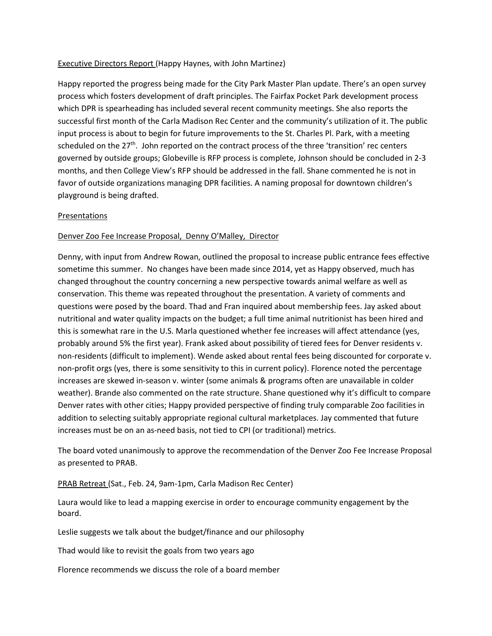# Executive Directors Report (Happy Haynes, with John Martinez)

Happy reported the progress being made for the City Park Master Plan update. There's an open survey process which fosters development of draft principles. The Fairfax Pocket Park development process which DPR is spearheading has included several recent community meetings. She also reports the successful first month of the Carla Madison Rec Center and the community's utilization of it. The public input process is about to begin for future improvements to the St. Charles Pl. Park, with a meeting scheduled on the 27<sup>th</sup>. John reported on the contract process of the three 'transition' rec centers governed by outside groups; Globeville is RFP process is complete, Johnson should be concluded in 2-3 months, and then College View's RFP should be addressed in the fall. Shane commented he is not in favor of outside organizations managing DPR facilities. A naming proposal for downtown children's playground is being drafted.

# **Presentations**

# Denver Zoo Fee Increase Proposal, Denny O'Malley, Director

Denny, with input from Andrew Rowan, outlined the proposal to increase public entrance fees effective sometime this summer. No changes have been made since 2014, yet as Happy observed, much has changed throughout the country concerning a new perspective towards animal welfare as well as conservation. This theme was repeated throughout the presentation. A variety of comments and questions were posed by the board. Thad and Fran inquired about membership fees. Jay asked about nutritional and water quality impacts on the budget; a full time animal nutritionist has been hired and this is somewhat rare in the U.S. Marla questioned whether fee increases will affect attendance (yes, probably around 5% the first year). Frank asked about possibility of tiered fees for Denver residents v. non-residents (difficult to implement). Wende asked about rental fees being discounted for corporate v. non-profit orgs (yes, there is some sensitivity to this in current policy). Florence noted the percentage increases are skewed in-season v. winter (some animals & programs often are unavailable in colder weather). Brande also commented on the rate structure. Shane questioned why it's difficult to compare Denver rates with other cities; Happy provided perspective of finding truly comparable Zoo facilities in addition to selecting suitably appropriate regional cultural marketplaces. Jay commented that future increases must be on an as-need basis, not tied to CPI (or traditional) metrics.

The board voted unanimously to approve the recommendation of the Denver Zoo Fee Increase Proposal as presented to PRAB.

# PRAB Retreat (Sat., Feb. 24, 9am-1pm, Carla Madison Rec Center)

Laura would like to lead a mapping exercise in order to encourage community engagement by the board.

Leslie suggests we talk about the budget/finance and our philosophy

Thad would like to revisit the goals from two years ago

Florence recommends we discuss the role of a board member